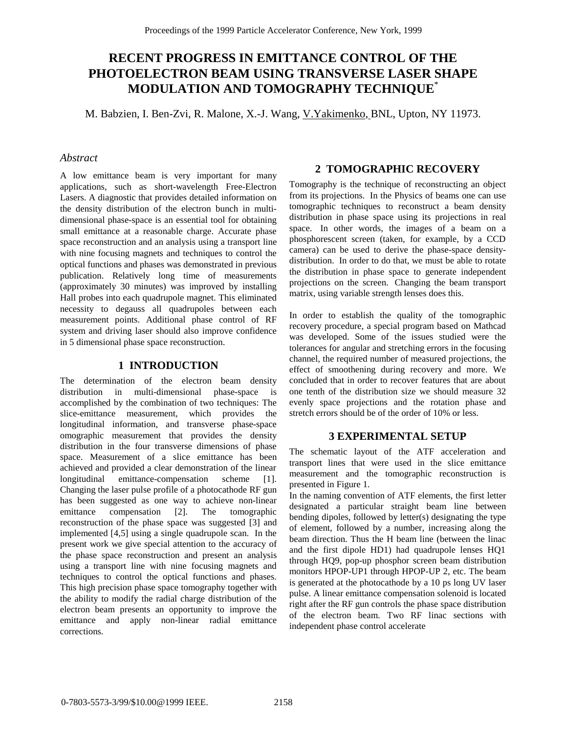# **RECENT PROGRESS IN EMITTANCE CONTROL OF THE PHOTOELECTRON BEAM USING TRANSVERSE LASER SHAPE MODULATION AND TOMOGRAPHY TECHNIQUE**\*

M. Babzien, I. Ben-Zvi, R. Malone, X.-J. Wang, V.Yakimenko, BNL, Upton, NY 11973.

## *Abstract*

A low emittance beam is very important for many applications, such as short-wavelength Free-Electron Lasers. A diagnostic that provides detailed information on the density distribution of the electron bunch in multidimensional phase-space is an essential tool for obtaining small emittance at a reasonable charge. Accurate phase space reconstruction and an analysis using a transport line with nine focusing magnets and techniques to control the optical functions and phases was demonstrated in previous publication. Relatively long time of measurements (approximately 30 minutes) was improved by installing Hall probes into each quadrupole magnet. This eliminated necessity to degauss all quadrupoles between each measurement points. Additional phase control of RF system and driving laser should also improve confidence in 5 dimensional phase space reconstruction.

### **1 INTRODUCTION**

The determination of the electron beam density distribution in multi-dimensional phase-space is accomplished by the combination of two techniques: The slice-emittance measurement, which provides the longitudinal information, and transverse phase-space omographic measurement that provides the density distribution in the four transverse dimensions of phase space. Measurement of a slice emittance has been achieved and provided a clear demonstration of the linear longitudinal emittance-compensation scheme [1]. Changing the laser pulse profile of a photocathode RF gun has been suggested as one way to achieve non-linear emittance compensation [2]. The tomographic reconstruction of the phase space was suggested [3] and implemented [4,5] using a single quadrupole scan. In the present work we give special attention to the accuracy of the phase space reconstruction and present an analysis using a transport line with nine focusing magnets and techniques to control the optical functions and phases. This high precision phase space tomography together with the ability to modify the radial charge distribution of the electron beam presents an opportunity to improve the emittance and apply non-linear radial emittance corrections.

## **2 TOMOGRAPHIC RECOVERY**

Tomography is the technique of reconstructing an object from its projections. In the Physics of beams one can use tomographic techniques to reconstruct a beam density distribution in phase space using its projections in real space. In other words, the images of a beam on a phosphorescent screen (taken, for example, by a CCD camera) can be used to derive the phase-space densitydistribution. In order to do that, we must be able to rotate the distribution in phase space to generate independent projections on the screen. Changing the beam transport matrix, using variable strength lenses does this.

In order to establish the quality of the tomographic recovery procedure, a special program based on Mathcad was developed. Some of the issues studied were the tolerances for angular and stretching errors in the focusing channel, the required number of measured projections, the effect of smoothening during recovery and more. We concluded that in order to recover features that are about one tenth of the distribution size we should measure 32 evenly space projections and the rotation phase and stretch errors should be of the order of 10% or less.

# **3 EXPERIMENTAL SETUP**

The schematic layout of the ATF acceleration and transport lines that were used in the slice emittance measurement and the tomographic reconstruction is presented in Figure 1.

In the naming convention of ATF elements, the first letter designated a particular straight beam line between bending dipoles, followed by letter(s) designating the type of element, followed by a number, increasing along the beam direction. Thus the H beam line (between the linac and the first dipole HD1) had quadrupole lenses HQ1 through HQ9, pop-up phosphor screen beam distribution monitors HPOP-UP1 through HPOP-UP 2, etc. The beam is generated at the photocathode by a 10 ps long UV laser pulse. A linear emittance compensation solenoid is located right after the RF gun controls the phase space distribution of the electron beam. Two RF linac sections with independent phase control accelerate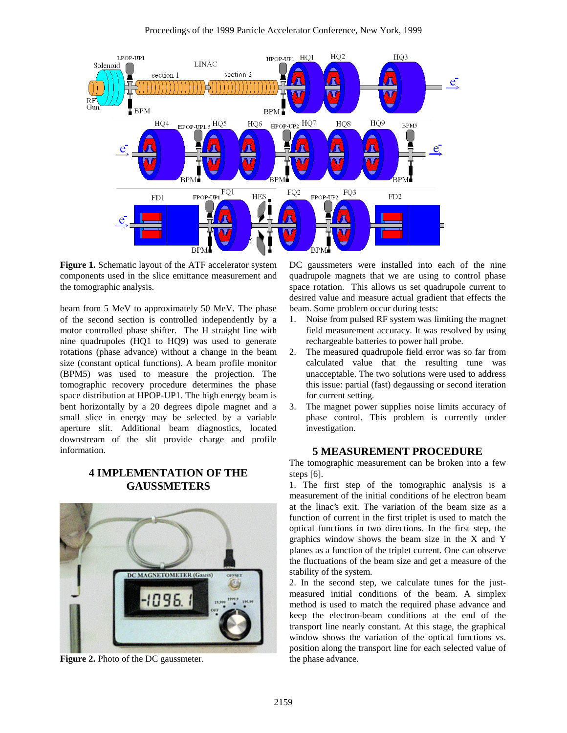

**Figure 1.** Schematic layout of the ATF accelerator system components used in the slice emittance measurement and the tomographic analysis.

beam from 5 MeV to approximately 50 MeV. The phase of the second section is controlled independently by a motor controlled phase shifter. The H straight line with nine quadrupoles (HQ1 to HQ9) was used to generate rotations (phase advance) without a change in the beam size (constant optical functions). A beam profile monitor (BPM5) was used to measure the projection. The tomographic recovery procedure determines the phase space distribution at HPOP-UP1. The high energy beam is bent horizontally by a 20 degrees dipole magnet and a small slice in energy may be selected by a variable aperture slit. Additional beam diagnostics, located downstream of the slit provide charge and profile information.

# **4 IMPLEMENTATION OF THE GAUSSMETERS**



**Figure 2.** Photo of the DC gaussmeter.

DC gaussmeters were installed into each of the nine quadrupole magnets that we are using to control phase space rotation. This allows us set quadrupole current to desired value and measure actual gradient that effects the beam. Some problem occur during tests:

- 1. Noise from pulsed RF system was limiting the magnet field measurement accuracy. It was resolved by using rechargeable batteries to power hall probe.
- 2. The measured quadrupole field error was so far from calculated value that the resulting tune was unacceptable. The two solutions were used to address this issue: partial (fast) degaussing or second iteration for current setting.
- 3. The magnet power supplies noise limits accuracy of phase control. This problem is currently under investigation.

#### **5 MEASUREMENT PROCEDURE**

The tomographic measurement can be broken into a few steps [6].

1. The first step of the tomographic analysis is a measurement of the initial conditions of he electron beam at the linac's exit. The variation of the beam size as a function of current in the first triplet is used to match the optical functions in two directions. In the first step, the graphics window shows the beam size in the X and Y planes as a function of the triplet current. One can observe the fluctuations of the beam size and get a measure of the stability of the system.

2. In the second step, we calculate tunes for the justmeasured initial conditions of the beam. A simplex method is used to match the required phase advance and keep the electron-beam conditions at the end of the transport line nearly constant. At this stage, the graphical window shows the variation of the optical functions vs. position along the transport line for each selected value of the phase advance.